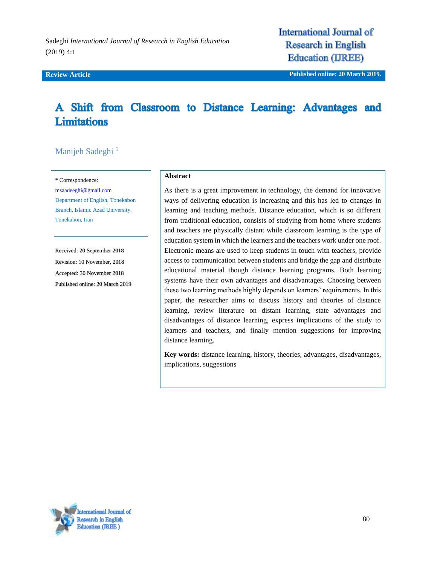Sadeghi *International Journal of Research in English Education*  (2019) 4:1

**International Journal of Research in English Education (IJREE)** 

**Review Article Published online: 20 March 2019.**

# A Shift from Classroom to Distance Learning: Advantages and **Limitations**

## Manijeh Sadeghi<sup>1</sup>

\* Correspondence:

[msaadeeghi@gmail.com](mailto:msaadeeghi@gmail.com) Department of English, Tonekabon Branch, Islamic Azad University, Tonekabon, Iran

Received: 20 September 2018 Revision: 10 November, 2018 Accepted: 30 November 2018 Published online: 20 March 2019

### **Abstract**

As there is a great improvement in technology, the demand for innovative ways of delivering education is increasing and this has led to changes in learning and teaching methods. Distance education, which is so different from traditional education, consists of studying from home where students and teachers are physically distant while classroom learning is the type of education system in which the learners and the teachers work under one roof. Electronic means are used to keep students in touch with teachers, provide access to communication between students and bridge the gap and distribute educational material though distance learning programs. Both learning systems have their own advantages and disadvantages. Choosing between these two learning methods highly depends on learners' requirements. In this paper, the researcher aims to discuss history and theories of distance learning, review literature on distant learning, state advantages and disadvantages of distance learning, express implications of the study to learners and teachers, and finally mention suggestions for improving distance learning.

**Key words:** [distance learning,](http://ijreeonline.com/search.php?sid=1&slc_lang=en&key=distance+learning) [history,](http://ijreeonline.com/search.php?sid=1&slc_lang=en&key=history) [theories,](http://ijreeonline.com/search.php?sid=1&slc_lang=en&key=theories) [advantages,](http://ijreeonline.com/search.php?sid=1&slc_lang=en&key=advantages) [disadvantages,](http://ijreeonline.com/search.php?sid=1&slc_lang=en&key=disadvantages) [implications,](http://ijreeonline.com/search.php?sid=1&slc_lang=en&key=implications) [suggestions](http://ijreeonline.com/search.php?sid=1&slc_lang=en&key=suggestions)

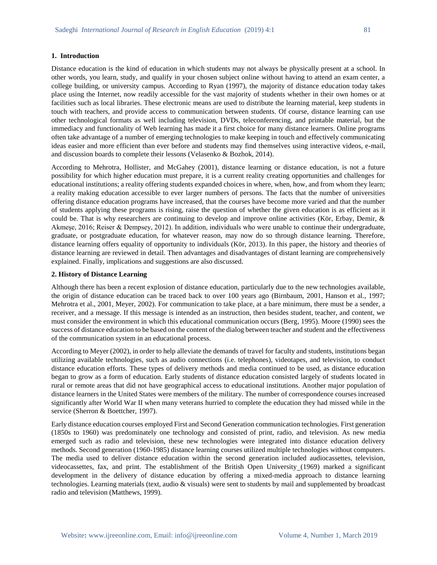#### **1. Introduction**

Distance education is the kind of education in which students may not always be physically present at a school. In other words, you learn, study, and qualify in your chosen subject online without having to attend an exam center, a college building, or university campus. According to Ryan (1997), the majority of distance education today takes place using the Internet, now readily accessible for the vast majority of students whether in their own homes or at facilities such as local libraries. These electronic means are used to distribute the learning material, keep students in touch with teachers, and provide access to communication between students. Of course, distance learning can use other technological formats as well including television, DVDs, teleconferencing, and printable material, but the immediacy and functionality of Web learning has made it a first choice for many distance learners. Online programs often take advantage of a number of emerging technologies to make keeping in touch and effectively communicating ideas easier and more efficient than ever before and students may find themselves using interactive videos, e-mail, and discussion boards to complete their lessons (Velasenko & Bozhok, 2014).

According to Mehrotra, Hollister, and McGahey (2001), distance learning or distance education, is not a future possibility for which higher education must prepare, it is a current reality creating opportunities and challenges for educational institutions; a reality offering students expanded choices in where, when, how, and from whom they learn; a reality making education accessible to ever larger numbers of persons. The facts that the number of universities offering distance education programs have increased, that the courses have become more varied and that the number of students applying these programs is rising, raise the question of whether the given education is as efficient as it could be. That is why researchers are continuing to develop and improve online activities (Kör, Erbay, Demir, & Akmeşe, 2016; Reiser & Dempsey, 2012). In addition, individuals who were unable to continue their undergraduate, graduate, or postgraduate education, for whatever reason, may now do so through distance learning. Therefore, distance learning offers equality of opportunity to individuals (Kör, 2013). In this paper, the history and theories of distance learning are reviewed in detail. Then advantages and disadvantages of distant learning are comprehensively explained. Finally, implications and suggestions are also discussed.

#### **2. History of Distance Learning**

Although there has been a recent explosion of distance education, particularly due to the new technologies available, the origin of distance education can be traced back to over 100 years ago (Birnbaum, 2001, Hanson et al., 1997; Mehrotra et al., 2001, Meyer, 2002). For communication to take place, at a bare minimum, there must be a sender, a receiver, and a message. If this message is intended as an instruction, then besides student, teacher, and content, we must consider the environment in which this educational communication occurs (Berg, 1995). Moore (1990) sees the success of distance education to be based on the content of the dialog between teacher and student and the effectiveness of the communication system in an educational process.

According to Meyer (2002), in order to help alleviate the demands of travel for faculty and students, institutions began utilizing available technologies, such as audio connections (i.e. telephones), videotapes, and television, to conduct distance education efforts. These types of delivery methods and media continued to be used, as distance education began to grow as a form of education. Early students of distance education consisted largely of students located in rural or remote areas that did not have geographical access to educational institutions. Another major population of distance learners in the United States were members of the military. The number of correspondence courses increased significantly after World War II when many veterans hurried to complete the education they had missed while in the service (Sherron & Boettcher, 1997).

Early distance education courses employed First and Second Generation communication technologies. First generation (1850s to 1960) was predominately one technology and consisted of print, radio, and television. As new media emerged such as radio and television, these new technologies were integrated into distance education delivery methods. Second generation (1960-1985) distance learning courses utilized multiple technologies without computers. The media used to deliver distance education within the second generation included audiocassettes, television, videocassettes, fax, and print. The establishment of the British Open University (1969) marked a significant development in the delivery of distance education by offering a mixed-media approach to distance learning technologies. Learning materials (text, audio & visuals) were sent to students by mail and supplemented by broadcast radio and television (Matthews, 1999).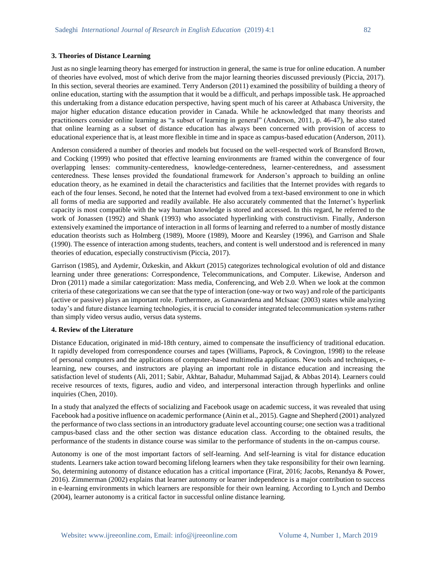#### **3. Theories of Distance Learning**

Just as no single learning theory has emerged for instruction in general, the same is true for online education. A number of theories have evolved, most of which derive from the major learning theories discussed previously (Piccia, 2017). In this section, several theories are examined. Terry Anderson (2011) examined the possibility of building a theory of online education, starting with the assumption that it would be a difficult, and perhaps impossible task. He approached this undertaking from a distance education perspective, having spent much of his career at Athabasca University, the major higher education distance education provider in Canada. While he acknowledged that many theorists and practitioners consider online learning as "a subset of learning in general" (Anderson, 2011, p. 46-47), he also stated that online learning as a subset of distance education has always been concerned with provision of access to educational experience that is, at least more flexible in time and in space as campus-based education (Anderson, 2011).

Anderson considered a number of theories and models but focused on the well-respected work of Bransford Brown, and Cocking (1999) who posited that effective learning environments are framed within the convergence of four overlapping lenses: community-centeredness, knowledge-centeredness, learner-centeredness, and assessment centeredness. These lenses provided the foundational framework for Anderson's approach to building an online education theory, as he examined in detail the characteristics and facilities that the Internet provides with regards to each of the four lenses. Second, he noted that the Internet had evolved from a text-based environment to one in which all forms of media are supported and readily available. He also accurately commented that the Internet's hyperlink capacity is most compatible with the way human knowledge is stored and accessed. In this regard, he referred to the work of Jonassen (1992) and Shank (1993) who associated hyperlinking with constructivism. Finally, Anderson extensively examined the importance of interaction in all forms of learning and referred to a number of mostly distance education theorists such as Holmberg (1989), Moore (1989), Moore and Kearsley (1996), and Garrison and Shale (1990). The essence of interaction among students, teachers, and content is well understood and is referenced in many theories of education, especially constructivism (Piccia, 2017).

Garrison (1985), and Aydemir, Özkeskin, and Akkurt (2015) categorizes technological evolution of old and distance learning under three generations: Correspondence, Telecommunications, and Computer. Likewise, Anderson and Dron (2011) made a similar categorization: Mass media, Conferencing, and Web 2.0. When we look at the common criteria of these categorizations we can see that the type of interaction (one-way or two way) and role of the participants (active or passive) plays an important role. Furthermore, as Gunawardena and McIsaac (2003) states while analyzing today's and future distance learning technologies, it is crucial to consider integrated telecommunication systems rather than simply video versus audio, versus data systems.

#### **4. Review of the Literature**

Distance Education, originated in mid-18th century, aimed to compensate the insufficiency of traditional education. It rapidly developed from correspondence courses and tapes (Williams, Paprock, & Covington, 1998) to the release of personal computers and the applications of computer-based multimedia applications. New tools and techniques, elearning, new courses, and instructors are playing an important role in distance education and increasing the satisfaction level of students (Ali, 2011; Sabir, Akhtar, Bahadur, Muhammad Sajjad, & Abbas 2014). Learners could receive resources of texts, figures, audio and video, and interpersonal interaction through hyperlinks and online inquiries (Chen, 2010).

In a study that analyzed the effects of socializing and Facebook usage on academic success, it was revealed that using Facebook had a positive influence on academic performance (Ainin et al., 2015). Gagne and Shepherd (2001) analyzed the performance of two class sections in an introductory graduate level accounting course; one section was a traditional campus-based class and the other section was distance education class. According to the obtained results, the performance of the students in distance course was similar to the performance of students in the on-campus course.

Autonomy is one of the most important factors of self-learning. And self-learning is vital for distance education students. Learners take action toward becoming lifelong learners when they take responsibility for their own learning. So, determining autonomy of distance education has a critical importance (Firat, 2016; Jacobs, Renandya & Power, 2016). Zimmerman (2002) explains that learner autonomy or learner independence is a major contribution to success in e-learning environments in which learners are responsible for their own learning. According to Lynch and Dembo (2004), learner autonomy is a critical factor in successful online distance learning.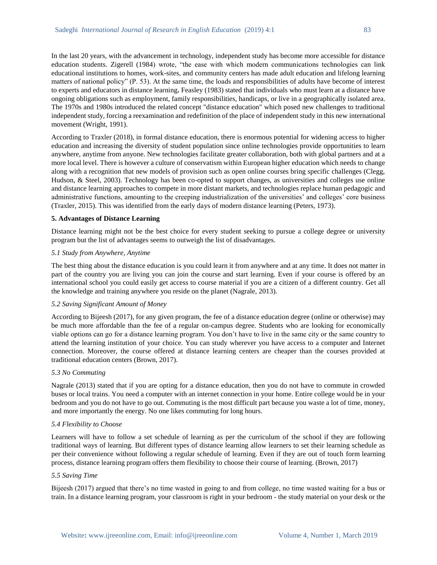In the last 20 years, with the advancement in technology, independent study has become more accessible for distance education students. Zigerell (1984) wrote, "the ease with which modern communications technologies can link educational institutions to homes, work-sites, and community centers has made adult education and lifelong learning matters of national policy" (P. 53). At the same time, the loads and responsibilities of adults have become of interest to experts and educators in distance learning**.** Feasley (1983) stated that individuals who must learn at a distance have ongoing obligations such as employment, family responsibilities, handicaps, or live in a geographically isolated area. The 1970s and 1980s introduced the related concept "distance education" which posed new challenges to traditional independent study, forcing a reexamination and redefinition of the place of independent study in this new international movement (Wright, 1991).

According to Traxler (2018), in formal distance education, there is enormous potential for widening access to higher education and increasing the diversity of student population since online technologies provide opportunities to learn anywhere, anytime from anyone. New technologies facilitate greater collaboration, both with global partners and at a more local level. There is however a culture of conservatism within European higher education which needs to change along with a recognition that new models of provision such as open online courses bring specific challenges (Clegg, Hudson, & Steel, 2003). Technology has been co-opted to support changes, as universities and colleges use online and distance learning approaches to compete in more distant markets, and technologies replace human pedagogic and administrative functions, amounting to the creeping industrialization of the universities' and colleges' core business (Traxler, 2015). This was identified from the early days of modern distance learning (Peters, 1973).

#### **5. Advantages of Distance Learning**

[Distance learning](https://www.eztalks.com/elearning/distance-learning-by-video-conferencing.html) might not be the best choice for every student seeking to pursue a college degree or university program but the list of advantages seems to outweigh the list of disadvantages.

#### *5.1 Study from Anywhere, Anytime*

The best thing about the distance education is you could learn it from anywhere and at any time. It does not matter in part of the country you are living you can join the course and start learning. Even if your course is offered by an international school you could easily get access to course material if you are a citizen of a different country. Get all the knowledge and training anywhere you reside on the planet (Nagrale, 2013).

#### *5.2 Saving Significant Amount of Money*

According to Bijeesh (2017), for any given program, the fee of a distance education degree (online or otherwise) may be much more affordable than the fee of a regular on-campus degree. Students who are looking for economically viable options can go for a distance learning program. You don't have to live in the same city or the same country to attend the learning institution of your choice. You can study wherever you have access to a computer and Internet connection. Moreover, the course offered at distance learning centers are cheaper than the courses provided at traditional education centers (Brown, 2017).

#### *5.3 No Commuting*

Nagrale (2013) stated that if you are opting for a distance education, then you do not have to commute in crowded buses or local trains. You need a computer with an internet connection in your home. Entire college would be in your bedroom and you do not have to go out. Commuting is the most difficult part because you waste a lot of time, money, and more importantly the energy. No one likes commuting for long hours.

### *5.4 Flexibility to Choose*

Learners will have to follow a set schedule of learning as per the curriculum of the school if they are following traditional ways of learning. But different types of distance learning allow learners to set their learning schedule as per their convenience without following a regular schedule of learning. Even if they are out of touch form learning process, distance learning program offers them flexibility to choose their course of learning. (Brown, 2017)

#### *5.5 Saving Time*

Bijeesh (2017) argued that there's no time wasted in going to and from college, no time wasted waiting for a bus or train. In a distance learning program, your classroom is right in your bedroom - the study material on your desk or the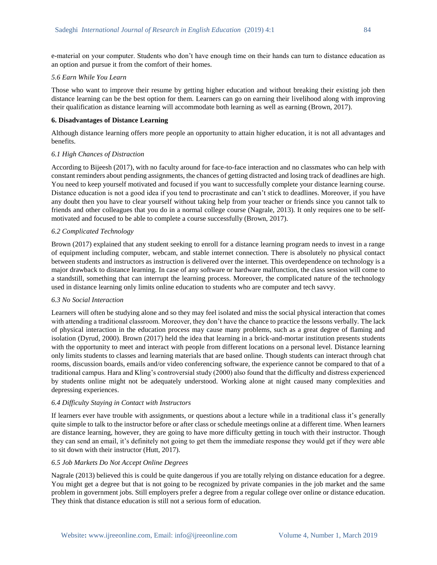e-material on your computer. Students who don't have enough time on their hands can turn to distance education as an option and pursue it from the comfort of their homes.

#### *5.6 Earn While You Learn*

Those who want to improve their resume by getting higher education and without breaking their existing job then distance learning can be the best option for them. Learners can go on earning their livelihood along with improving their qualification as distance learning will accommodate both learning as well as earning (Brown, 2017).

#### **6. Disadvantages of Distance Learning**

Although distance learning offers more people an opportunity to attain higher education, it is not all advantages and benefits.

#### *6.1 High Chances of Distraction*

According to Bijeesh (2017), with no faculty around for face-to-face interaction and no classmates who can help with constant reminders about pending assignments, the chances of getting distracted and losing track of deadlines are high. You need to keep yourself motivated and focused if you want to successfully complete your distance learning course. Distance education is not a good idea if you tend to procrastinate and can't stick to deadlines. Moreover, if you have any doubt then you have to clear yourself without taking help from your teacher or friends since you cannot talk to friends and other colleagues that you do in a normal college course (Nagrale, 2013). It only requires one to be selfmotivated and focused to be able to complete a course successfully (Brown, 2017).

#### *6.2 Complicated Technology*

Brown (2017) explained that any student seeking to enroll for a distance learning program needs to invest in a range of equipment including computer, webcam, and stable internet connection. There is absolutely no physical contact between students and instructors as instruction is delivered over the internet. This overdependence on technology is a major drawback to distance learning. In case of any software or hardware malfunction, the class session will come to a standstill, something that can interrupt the learning process. Moreover, the complicated nature of the technology used in distance learning only limits online education to students who are computer and tech savvy.

#### *6.3 No Social Interaction*

Learners will often be studying alone and so they may feel isolated and miss the social physical interaction that comes with attending a traditional classroom. Moreover, they don't have the chance to practice the lessons verbally. The lack of physical interaction in the education process may cause many problems, such as a great degree of flaming and isolation (Dyrud, 2000). Brown (2017) held the idea that learning in a brick-and-mortar institution presents students with the opportunity to meet and interact with people from different locations on a personal level. Distance learning only limits students to classes and learning materials that are based online. Though students can interact through chat rooms, discussion boards, emails and/or video conferencing software, the experience cannot be compared to that of a traditional campus. Hara and Kling's controversial study (2000) also found that the difficulty and distress experienced by students online might not be adequately understood. Working alone at night caused many complexities and depressing experiences.

#### *6.4 Difficulty Staying in Contact with Instructors*

If learners ever have trouble with assignments, or questions about a lecture while in a traditional class it's generally quite simple to talk to the instructor before or after class or schedule meetings online at a different time. When learners are distance learning, however, they are going to have more difficulty getting in touch with their instructor. Though they can send an email, it's definitely not going to get them the immediate response they would get if they were able to sit down with their instructor (Hutt, 2017).

#### *6.5 Job Markets Do Not Accept Online Degrees*

Nagrale (2013) believed this is could be quite dangerous if you are totally relying on distance education for a degree. You might get a degree but that is not going to be recognized by private companies in the job market and the same problem in government jobs. Still employers prefer a degree from a regular college over online or distance education. They think that distance education is still not a serious form of education.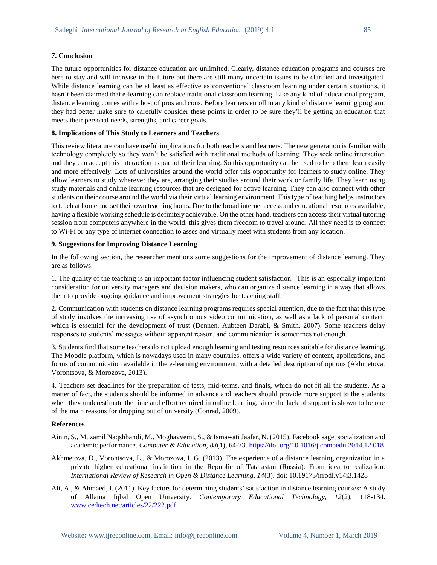#### **7. Conclusion**

The future opportunities for distance education are unlimited. Clearly, distance education programs and courses are here to stay and will increase in the future but there are still many uncertain issues to be clarified and investigated. While distance learning can be at least as effective as conventional classroom learning under certain situations, it hasn't been claimed that e-learning can replace traditional classroom learning. Like any kind of educational program, distance learning comes with a host of pros and cons. Before learners enroll in any kind of distance learning program, they had better make sure to carefully consider these points in order to be sure they'll be getting an education that meets their personal needs, strengths, and career goals.

#### **8. Implications of This Study to Learners and Teachers**

This review literature can have useful implications for both teachers and learners. The new generation is familiar with technology completely so they won't be satisfied with traditional methods of learning. They seek online interaction and they can accept this interaction as part of their learning. So this opportunity can be used to help them learn easily and more effectively. Lots of universities around the world offer this opportunity for learners to study online. They allow learners to study wherever they are, arranging their studies around their work or family life. They learn using study materials and online learning resources that are designed for active learning. They can also connect with other students on their course around the world via their virtual learning environment. This type of teaching helps instructors to teach at home and set their own teaching hours. Due to the broad internet access and educational resources available, having a flexible working schedule is definitely achievable. On the other hand, teachers can access their virtual tutoring session from computers anywhere in the world; this gives them freedom to travel around. All they need is to connect to Wi-Fi or any type of internet connection to asses and virtually meet with students from any location.

### **9. Suggestions for Improving Distance Learning**

In the following section, the researcher mentions some suggestions for the improvement of distance learning. They are as follows:

1. The quality of the teaching is an important factor influencing student satisfaction. This is an especially important consideration for university managers and decision makers, who can organize distance learning in a way that allows them to provide ongoing guidance and improvement strategies for teaching staff.

2. Communication with students on distance learning programs requires special attention, due to the fact that this type of study involves the increasing use of asynchronous video communication, as well as a lack of personal contact, which is essential for the development of trust (Dennen, Aubteen Darabi, & Smith, 2007). Some teachers delay responses to students' messages without apparent reason, and communication is sometimes not enough.

3. Students find that some teachers do not upload enough learning and testing resources suitable for distance learning. The Moodle platform, which is nowadays used in many countries, offers a wide variety of content, applications, and forms of communication available in the e-learning environment, with a detailed description of options (Akhmetova, Vorontsova, & Morozova, 2013).

4. Teachers set deadlines for the preparation of tests, mid-terms, and finals, which do not fit all the students. As a matter of fact, the students should be informed in advance and teachers should provide more support to the students when they underestimate the time and effort required in online learning, since the lack of support is shown to be one of the main reasons for dropping out of university (Conrad, 2009).

#### **References**

- [Ainin,](https://www.sciencedirect.com/science/article/pii/S0360131515000160#!) S., [Muzamil Naqshbandi,](https://www.sciencedirect.com/science/article/pii/S0360131515000160#!) M.[, Moghavvemi,](https://www.sciencedirect.com/science/article/pii/S0360131515000160#!) S., [& Ismawati Jaafar,](https://www.sciencedirect.com/science/article/pii/S0360131515000160#!) N. (2015). Facebook sage, socialization and academic performance. *Computer & Education, 83*(1), 64-73.<https://doi.org/10.1016/j.compedu.2014.12.018>
- Akhmetova, D., Vorontsova, L., & Morozova, I. G. (2013). The experience of a distance learning organization in a private higher educational institution in the Republic of Tatarastan (Russia): From idea to realization. *International Review of Research in Open & Distance Learning, 14*(3). doi: 10.19173/irrodl.v14i3.1428
- Ali, A., & Ahmaed, I. (2011). Key factors for determining students' satisfaction in distance learning courses: A study of Allama Iqbal Open University. *Contemporary Educational Technology, 12*(2), 118-134. [www.cedtech.net/articles/22/222.pdf](http://www.cedtech.net/articles/22/222.pdf)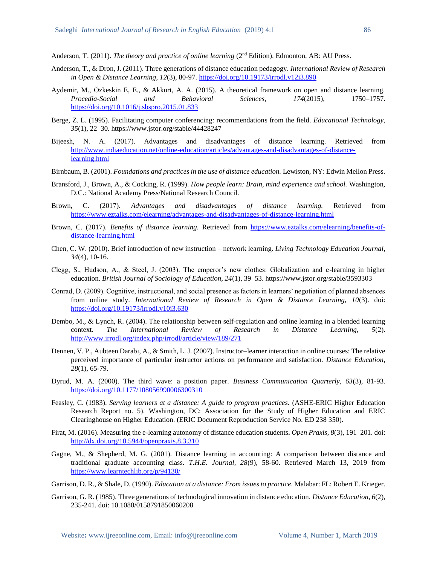Anderson, T. (2011). *The theory and practice of online learning* (2nd Edition). Edmonton, AB: AU Press.

- Anderson, T., & Dron, J. (2011). Three generations of distance education pedagogy. *International Review of Research in Open & Distance Learning*, *12*(3), 80-97.<https://doi.org/10.19173/irrodl.v12i3.890>
- Aydemir, M., Özkeskin E, E., & Akkurt, A. A. (2015). A theoretical framework on open and distance learning. *Procedia-Social and Behavioral Sciences, 174*(2015), 1750–1757. <https://doi.org/10.1016/j.sbspro.2015.01.833>
- Berge, Z. L. (1995). Facilitating computer conferencing: recommendations from the field. *Educational Technology*, *35*(1), 22–30. https://www.jstor.org/stable/44428247
- Bijeesh, N. A. (2017). Advantages and disadvantages of distance learning*.* Retrieved from [http://www.indiaeducation.net/online-education/articles/advantages-and-disadvantages-of-distance](http://www.indiaeducation.net/online-education/articles/advantages-and-disadvantages-of-distance-learning.html)[learning.html](http://www.indiaeducation.net/online-education/articles/advantages-and-disadvantages-of-distance-learning.html)
- Birnbaum, B. (2001). *Foundations and practices in the use of distance education.* Lewiston, NY: Edwin Mellon Press.
- Bransford, J., Brown, A., & Cocking, R. (1999). *How people learn: Brain, mind experience and school.* Washington, D.C.: National Academy Press/National Research Council.
- Brown, C. (2017). *Advantages and disadvantages of distance learning.* Retrieved from <https://www.eztalks.com/elearning/advantages-and-disadvantages-of-distance-learning.html>
- Brown, C. (2017). *Benefits of distance learning.* Retrieved from [https://www.eztalks.com/elearning/benefits-of](https://www.eztalks.com/elearning/benefits-of-distance-learning.html)[distance-learning.html](https://www.eztalks.com/elearning/benefits-of-distance-learning.html)
- Chen, C. W. (2010). Brief introduction of new instruction network learning. *Living Technology Education Journal*, *34*(4), 10-16.
- Clegg, S., Hudson, A., & Steel, J. (2003). The emperor's new clothes: Globalization and e-learning in higher education. *British Journal of Sociology of Education, 24*(1), 39–53. https://www.jstor.org/stable/3593303
- Conrad, D. (2009). Cognitive, instructional, and social presence as factors in learners' negotiation of planned absences from online study. *International Review of Research in Open & Distance Learning, 10*(3). doi: <https://doi.org/10.19173/irrodl.v10i3.630>
- Dembo, M., & Lynch, R. (2004). The relationship between self-regulation and online learning in a blended learning context. *The International Review of Research in Distance Learning, 5*(2). <http://www.irrodl.org/index.php/irrodl/article/view/189/271>
- Dennen, V. P., Aubteen Darabi, A., & Smith, L. J. (2007). Instructor–learner interaction in online courses: The relative perceived importance of particular instructor actions on performance and satisfaction. *Distance Education, 28*(1), 65-79.
- Dyrud, M. A. (2000). The third wave: a position paper. *Business Communication Quarterly, 63*(3), 81-93. [https://doi.org/10.1177/108056990006300310](https://doi.org/10.1177%2F108056990006300310)
- Feasley, C. (1983). *Serving learners at a distance: A guide to program practices.* (ASHE-ERIC Higher Education Research Report no. 5). Washington, DC: Association for the Study of Higher Education and ERIC Clearinghouse on Higher Education. (ERIC Document Reproduction Service No. ED 238 350).
- Firat, M. (2016). Measuring the e-learning autonomy of distance education students**.** *Open Praxis, 8*(3), 191–201. doi: <http://dx.doi.org/10.5944/openpraxis.8.3.310>
- Gagne, M., & Shepherd, M. G. (2001). Distance learning in accounting: A comparison between distance and traditional graduate accounting class. *T.H.E. Journal, 28*(9), 58-60. Retrieved March 13, 2019 from <https://www.learntechlib.org/p/94130/>
- Garrison, D. R., & Shale, D. (1990). *Education at a distance: From issues to practice*. Malabar: FL: Robert E. Krieger.
- Garrison, G. R. (1985). Three generations of technological innovation in distance education. *Distance Education*, *6*(2), 235-241. doi: 10.1080/0158791850060208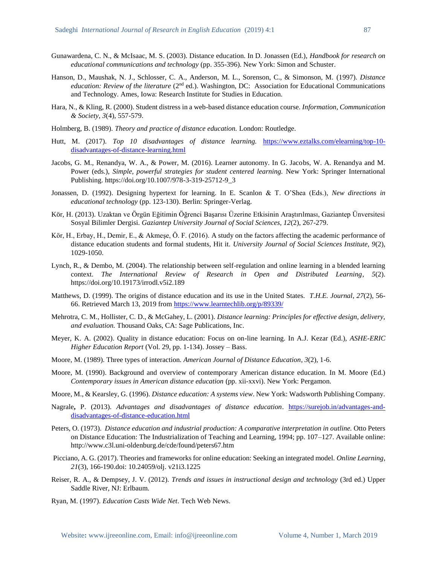- Gunawardena, C. N., & McIsaac, M. S. (2003). Distance education. In D. Jonassen (Ed.), *Handbook for research on educational communications and technology* (pp. 355-396). New York: Simon and Schuster.
- Hanson, D., Maushak, N. J., Schlosser, C. A., Anderson, M. L., Sorenson, C., & Simonson, M. (1997). *Distance education: Review of the literature* (2<sup>nd</sup> ed.). Washington, DC: Association for Educational Communications and Technology. Ames, Iowa: Research Institute for Studies in Education.
- Hara, N., & Kling, R. (2000). Student distress in a web-based distance education course. *Information, Communication & Society*, *3*(4), 557-579.
- Holmberg, B. (1989). *Theory and practice of distance education.* London: Routledge.
- Hutt, M. (2017). *Top 10 disadvantages of distance learning.* [https://www.eztalks.com/elearning/top-10](https://www.eztalks.com/elearning/top-10-disadvantages-of-distance-learning.html) [disadvantages-of-distance-learning.html](https://www.eztalks.com/elearning/top-10-disadvantages-of-distance-learning.html)
- Jacobs, G. M., Renandya, W. A., & Power, M. (2016). Learner autonomy. In G. Jacobs, W. A. Renandya and M. Power (eds.), *Simple, powerful strategies for student centered learning*. New York: Springer International Publishing. https://doi.org/10.1007/978-3-319-25712-9\_3
- Jonassen, D. (1992). Designing hypertext for learning. In E. Scanlon & T. O'Shea (Eds.), *New directions in educational technology* (pp. 123-130). Berlin: Springer-Verlag.
- Kör, H. (2013). Uzaktan ve Örgün Eğitimin Öğrenci Başarısı Üzerine Etkisinin Araştırılması, Gaziantep Ünversitesi Sosyal Bilimler Dergisi. *Gaziantep University Journal of Social Sciences, 12*(2), 267-279.
- Kör, H., Erbay, H., Demir, E., & Akmeşe, Ö. F. (2016). A study on the factors affecting the academic performance of distance education students and formal students, Hit it. *University Journal of Social Sciences Institute, 9*(2), 1029-1050.
- Lynch, R., & Dembo, M. (2004). The relationship between self-regulation and online learning in a blended learning context. *The International Review of Research in Open and Distributed Learning*, *5*(2). https://doi.org/10.19173/irrodl.v5i2.189
- Matthews, D. (1999). The origins of distance education and its use in the United States. *T.H.E. Journal*, *27*(2), 56- 66. Retrieved March 13, 2019 from<https://www.learntechlib.org/p/89339/>
- Mehrotra, C. M., Hollister, C. D., & McGahey, L. (2001). *Distance learning: Principles for effective design, delivery, and evaluation.* Thousand Oaks, CA: Sage Publications, Inc.
- Meyer, K. A. (2002). Quality in distance education: Focus on on-line learning. In A.J. Kezar (Ed.), *ASHE-ERIC Higher Education Report* (Vol. 29, pp. 1-134). Jossey – Bass.
- Moore, M. (1989). Three types of interaction. *American Journal of Distance Education*, *3*(2), 1-6.
- Moore, M. (1990). Background and overview of contemporary American distance education. In M. Moore (Ed.) *Contemporary issues in American distance education* (pp. xii-xxvi). New York: Pergamon.
- Moore, M., & Kearsley, G. (1996). *Distance education: A systems view*. New York: Wadsworth Publishing Company.
- Nagrale**,** P. (2013). *Advantages and disadvantages of distance education*. [https://surejob.in/advantages-and](https://surejob.in/advantages-and-disadvantages-of-distance-education.html)[disadvantages-of-distance-education.html](https://surejob.in/advantages-and-disadvantages-of-distance-education.html)
- Peters, O. (1973). *Distance education and industrial production: A comparative interpretation in outline.* Otto Peters on Distance Education: The Industrialization of Teaching and Learning, 1994; pp. 107–127. Available online: http://www.c3l.uni-oldenburg.de/cde/found/peters67.htm
- Picciano, A. G. (2017). Theories and frameworks for online education: Seeking an integrated model. *Online Learning*, *21*(3), 166-190.doi: 10.24059/olj. v21i3.1225
- Reiser, R. A., & Dempsey, J. V. (2012). *Trends and issues in instructional design and technology* (3rd ed.) Upper Saddle River, NJ: Erlbaum.
- Ryan, M. (1997). *Education Casts Wide Net*. Tech Web News.